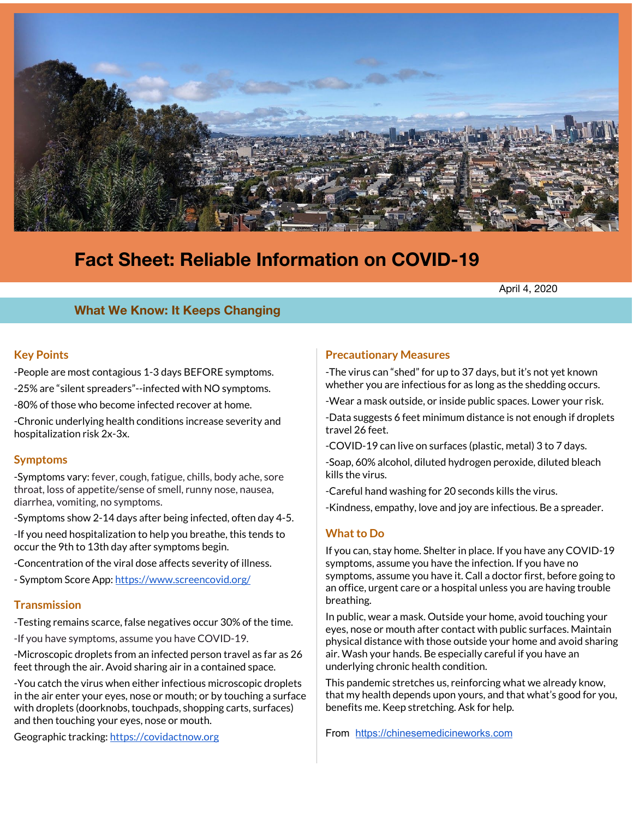

# **Fact Sheet: Reliable Information on COVID-19**

April 4, 2020

## **What We Know: It Keeps Changing**

## **Key Points**

- -People are most contagious 1-3 days BEFORE symptoms.
- -25% are "silent spreaders"--infected with NO symptoms.
- -80% of those who become infected recover at home.
- -Chronic underlying health conditions increase severity and hospitalization risk 2x-3x.

## **Symptoms**

-Symptoms vary: fever, cough, fatigue, chills, body ache, sore throat, loss of appetite/sense of smell, runny nose, nausea, diarrhea, vomiting, no symptoms.

-Symptoms show 2-14 days after being infected, often day 4-5.

-If you need hospitalization to help you breathe, this tends to occur the 9th to 13th day after symptoms begin.

- -Concentration of the viral dose affects severity of illness.
- Symptom Score App: <https://www.screencovid.org/>

## **Transmission**

-Testing remains scarce, false negatives occur 30% of the time.

-If you have symptoms, assume you have COVID-19.

-Microscopic droplets from an infected person travel as far as 26 feet through the air. Avoid sharing air in a contained space.

-You catch the virus when either infectious microscopic droplets in the air enter your eyes, nose or mouth; or by touching a surface with droplets (doorknobs, touchpads, shopping carts, surfaces) and then touching your eyes, nose or mouth.

Geographic tracking: [https://covidactnow.org](https://covidactnow.org/)

## **Precautionary Measures**

-The virus can "shed" for up to 37 days, but it's not yet known whether you are infectious for as long as the shedding occurs.

-Wear a mask outside, or inside public spaces. Lower your risk.

-Data suggests 6 feet minimum distance is not enough if droplets travel 26 feet.

-COVID-19 can live on surfaces (plastic, metal) 3 to 7 days.

-Soap, 60% alcohol, diluted hydrogen peroxide, diluted bleach kills the virus.

-Careful hand washing for 20 seconds kills the virus.

-Kindness, empathy, love and joy are infectious. Be a spreader.

## **Whatto Do**

If you can, stay home. Shelter in place. If you have any COVID-19 symptoms, assume you have the infection. If you have no symptoms, assume you have it. Call a doctor first, before going to an office, urgent care or a hospital unless you are having trouble breathing.

In public, wear a mask. Outside your home, avoid touching your eyes, nose or mouth after contact with public surfaces. Maintain physical distance with those outside your home and avoid sharing air. Wash your hands. Be especially careful if you have an underlying chronic health condition.

This pandemic stretches us, reinforcing what we already know, that my health depends upon yours, and that what's good for you, benefits me. Keep stretching. Ask for help.

From [https://chinesemedicineworks.com](https://chinesemedicineworks.com/)